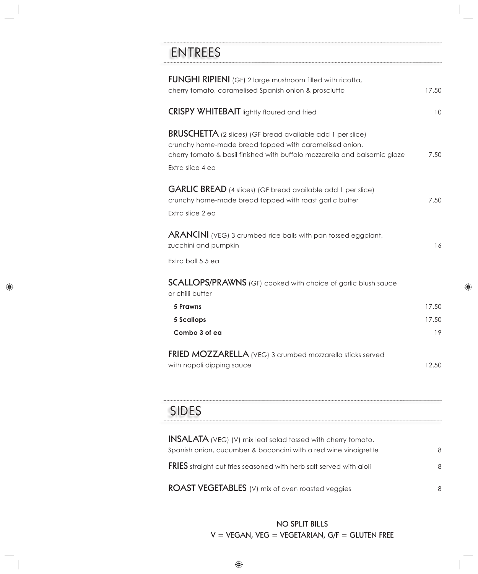## ENTREES

| <b>FUNGHI RIPIENI</b> (GF) 2 large mushroom filled with ricotta,<br>cherry tomato, caramelised Spanish onion & prosciutto                                                                                                    | 17.50 |
|------------------------------------------------------------------------------------------------------------------------------------------------------------------------------------------------------------------------------|-------|
| <b>CRISPY WHITEBAIT</b> lightly floured and fried                                                                                                                                                                            | 10    |
| <b>BRUSCHETTA</b> (2 slices) (GF bread available add 1 per slice)<br>crunchy home-made bread topped with caramelised onion,<br>cherry tomato & basil finished with buffalo mozzarella and balsamic glaze<br>Extra slice 4 ea | 7.50  |
| <b>GARLIC BREAD</b> (4 slices) (GF bread available add 1 per slice)<br>crunchy home-made bread topped with roast garlic butter<br>Extra slice 2 ea                                                                           | 7.50  |
| <b>ARANCINI</b> (VEG) 3 crumbed rice balls with pan tossed eggplant,<br>zucchini and pumpkin                                                                                                                                 | 16    |
| Extra ball 5.5 ea                                                                                                                                                                                                            |       |
| <b>SCALLOPS/PRAWNS</b> (GF) cooked with choice of garlic blush sauce<br>or chilli butter                                                                                                                                     |       |
| <b>5 Prawns</b>                                                                                                                                                                                                              | 17.50 |
| <b>5 Scallops</b>                                                                                                                                                                                                            | 17.50 |
| Combo 3 of ea                                                                                                                                                                                                                | 19    |
| FRIED MOZZARELLA (VEG) 3 crumbed mozzarella sticks served<br>with napoli dipping sauce                                                                                                                                       | 12.50 |

# SIDES

| <b>INSALATA</b> (VEG) (V) mix leaf salad tossed with cherry tomato,       |   |
|---------------------------------------------------------------------------|---|
| Spanish onion, cucumber & boconcini with a red wine vinaigrette           | 8 |
| <b>FRIES</b> straight cut fries seasoned with herb salt served with aioli | 8 |
| <b>ROAST VEGETABLES</b> (V) mix of oven roasted veggies                   | 8 |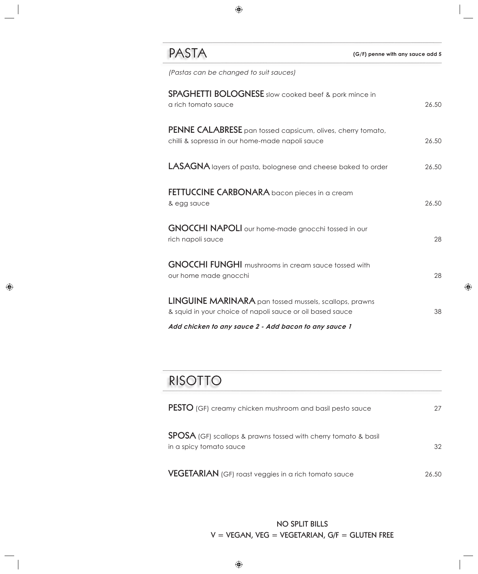### PASTA

| (Pastas can be changed to suit sauces)                                                                                     |       |
|----------------------------------------------------------------------------------------------------------------------------|-------|
| SPAGHETTI BOLOGNESE slow cooked beef & pork mince in<br>a rich tomato sauce                                                | 26.50 |
| <b>PENNE CALABRESE</b> pan tossed capsicum, olives, cherry tomato,<br>chilli & sopressa in our home-made napoli sauce      | 26.50 |
| LASAGNA layers of pasta, bolognese and cheese baked to order                                                               | 26.50 |
| FETTUCCINE CARBONARA bacon pieces in a cream<br>& egg sauce                                                                | 26.50 |
| <b>GNOCCHI NAPOLI</b> our home-made gnocchi tossed in our<br>rich napoli sauce                                             | 28    |
| <b>GNOCCHI FUNGHI</b> mushrooms in cream sauce tossed with<br>our home made gnocchi                                        | 28    |
| <b>LINGUINE MARINARA</b> pan tossed mussels, scallops, prawns<br>& squid in your choice of napoli sauce or oil based sauce | 38    |
| Add chicken to any sauce 2 - Add bacon to any sauce 1                                                                      |       |

## RISOTTO

| <b>PESTO</b> (GF) creamy chicken mushroom and basil pesto sauce                                  | 27    |
|--------------------------------------------------------------------------------------------------|-------|
| <b>SPOSA</b> (GF) scallops & prawns tossed with cherry tomato & basil<br>in a spicy tomato sauce | 32    |
| <b>VEGETARIAN</b> (GF) roast veggies in a rich tomato sauce                                      | 26.50 |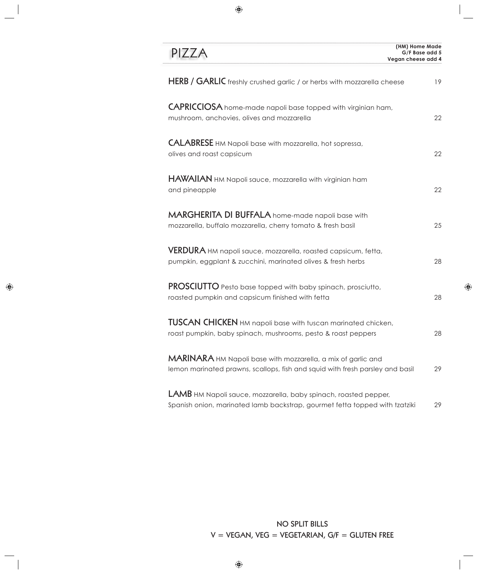| PIZZA                                                                                                                                          | (HM) Home Made<br>G/F Base add 5<br>Vegan cheese add 4 |
|------------------------------------------------------------------------------------------------------------------------------------------------|--------------------------------------------------------|
| HERB / GARLIC freshly crushed garlic / or herbs with mozzarella cheese                                                                         | 19                                                     |
| <b>CAPRICCIOSA</b> home-made napoli base topped with virginian ham,<br>mushroom, anchovies, olives and mozzarella                              | 22                                                     |
| <b>CALABRESE</b> HM Napoli base with mozzarella, hot sopressa,<br>olives and roast capsicum                                                    | 22                                                     |
| HAWAIIAN HM Napoli sauce, mozzarella with virginian ham<br>and pineapple                                                                       | 22                                                     |
| MARGHERITA DI BUFFALA home-made napoli base with<br>mozzarella, buffalo mozzarella, cherry tomato & fresh basil                                | 25                                                     |
| VERDURA HM napoli sauce, mozzarella, roasted capsicum, fetta,<br>pumpkin, eggplant & zucchini, marinated olives & fresh herbs                  | 28                                                     |
| PROSCIUTTO Pesto base topped with baby spinach, prosciutto,<br>roasted pumpkin and capsicum finished with fetta                                | 28                                                     |
| TUSCAN CHICKEN HM napoli base with tuscan marinated chicken,<br>roast pumpkin, baby spinach, mushrooms, pesto & roast peppers                  | 28                                                     |
| MARINARA HM Napoli base with mozzarella, a mix of garlic and<br>lemon marinated prawns, scallops, fish and squid with fresh parsley and basil  | 29                                                     |
| LAMB HM Napoli sauce, mozzarella, baby spinach, roasted pepper,<br>Spanish onion, marinated lamb backstrap, gourmet fetta topped with tzatziki | 29                                                     |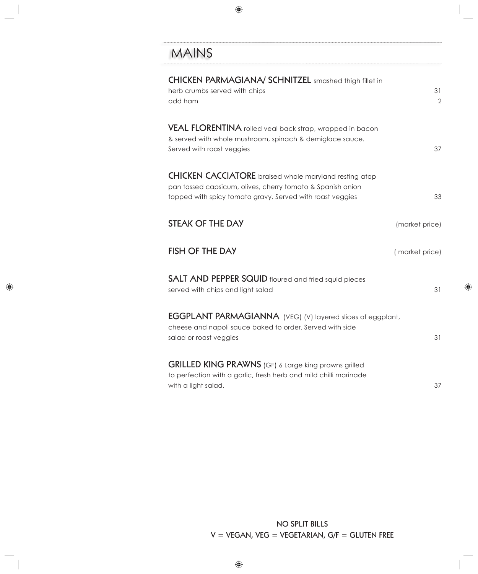## MAINS

| <b>CHICKEN PARMAGIANA/ SCHNITZEL</b> smashed thigh fillet in<br>herb crumbs served with chips<br>add ham                                                                                 | 31<br>$\overline{2}$ |
|------------------------------------------------------------------------------------------------------------------------------------------------------------------------------------------|----------------------|
| VEAL FLORENTINA rolled veal back strap, wrapped in bacon<br>& served with whole mushroom, spinach & demiglace sauce.<br>Served with roast veggies                                        | 37                   |
| <b>CHICKEN CACCIATORE</b> braised whole maryland resting atop<br>pan tossed capsicum, olives, cherry tomato & Spanish onion<br>topped with spicy tomato gravy. Served with roast veggies | 33                   |
| <b>STEAK OF THE DAY</b>                                                                                                                                                                  | (market price)       |
| <b>FISH OF THE DAY</b>                                                                                                                                                                   | (market price)       |
| <b>SALT AND PEPPER SQUID</b> floured and fried squid pieces<br>served with chips and light salad                                                                                         | 31                   |
| <b>EGGPLANT PARMAGIANNA</b> (VEG) (V) layered slices of eggplant,<br>cheese and napoli sauce baked to order. Served with side<br>salad or roast veggies                                  | 31                   |
| <b>GRILLED KING PRAWNS</b> (GF) 6 Large king prawns grilled<br>to perfection with a garlic, fresh herb and mild chilli marinade<br>with a light salad.                                   | 37                   |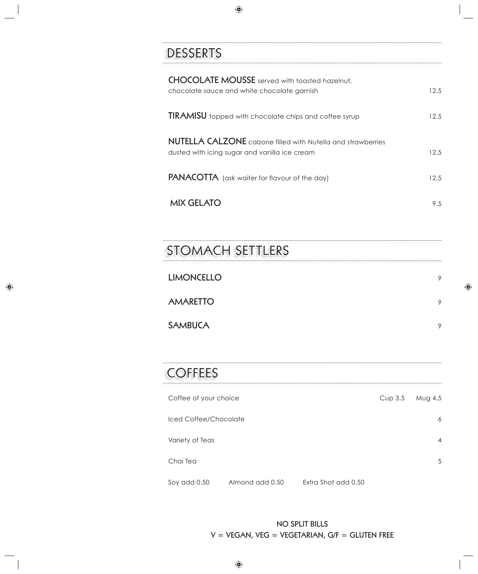## DESSERTS

| <b>CHOCOLATE MOUSSE</b> served with toasted hazelnut,<br>chocolate sauce and white chocolate garnish                 |           | 12.5    |
|----------------------------------------------------------------------------------------------------------------------|-----------|---------|
| <b>TIRAMISU</b> topped with chocolate chips and coffee syrup                                                         |           | 12.5    |
| <b>NUTELLA CALZONE</b> calzone filled with Nutella and strawberries<br>dusted with icing sugar and vanilla ice cream |           | 12.5    |
| <b>PANACOTTA</b> (ask waiter for flavour of the day)                                                                 |           | 12.5    |
| <b>MIX GELATO</b>                                                                                                    |           | 9.5     |
|                                                                                                                      |           |         |
| <b>STOMACH SETTLERS</b>                                                                                              |           |         |
| <b>LIMONCELLO</b>                                                                                                    |           | 9       |
| <b>AMARETTO</b>                                                                                                      |           | 9       |
| <b>SAMBUCA</b>                                                                                                       |           | 9       |
|                                                                                                                      |           |         |
| <b>COFFEES</b>                                                                                                       |           |         |
| Coffee of your choice                                                                                                | $Cup$ 3.5 | Mug 4.5 |
| Iced Coffee/Chocolate                                                                                                |           | 6       |
| Variety of Teas                                                                                                      |           | 4       |
| Chai Tea                                                                                                             |           | 5       |

Soy add 0.50 Almond add 0.50 Extra Shot add 0.50